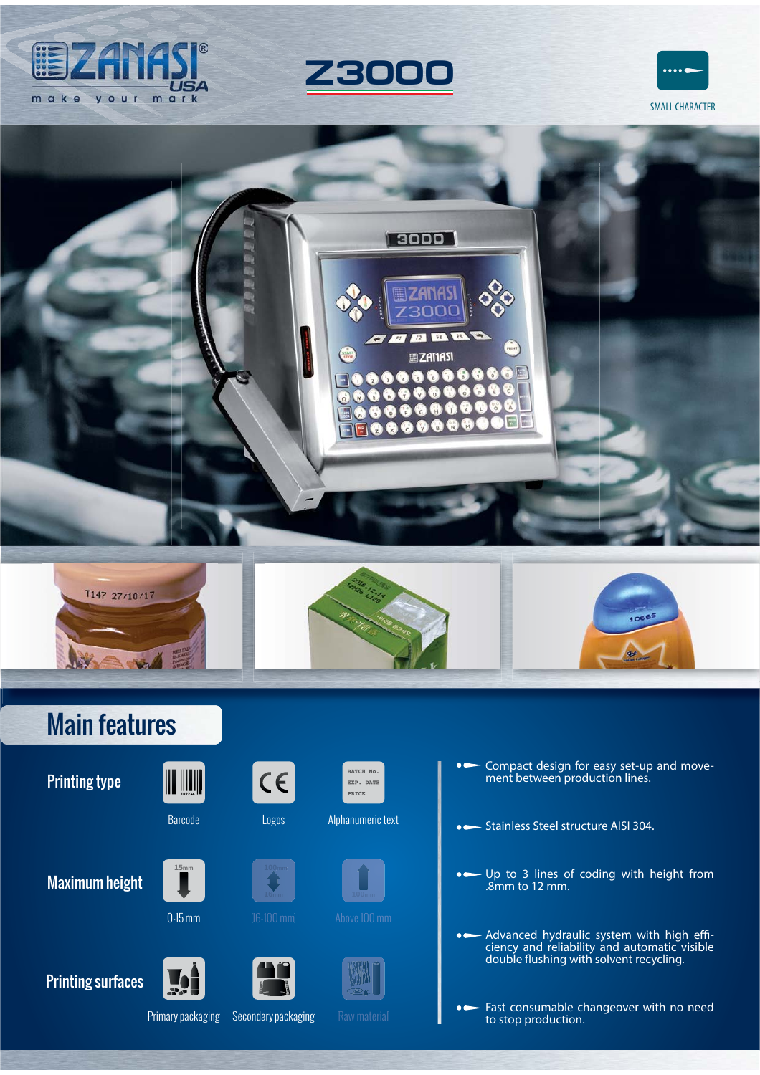













# Main features

Printing type



**15mm**

 $\left\| \right\|$   $\left\| \right\|$   $\left\| \right\|$ 



**0-15 mm** 16-100 mm Above 100 mm

 $C \in$ 



Barcode Logos Alphanumeric text





- Compact design for easy set-up and movement between production lines.

- Stainless Steel structure AISI 304.
- Up to 3 lines of coding with height from .8mm to 12 mm.
- Advanced hydraulic system with high effi-<br>ciency and reliability and automatic visible double flushing with solvent recycling.

Fast consumable changeover with no need to stop production.

Printing surfaces



Primary packaging Secondary packaging Raw material